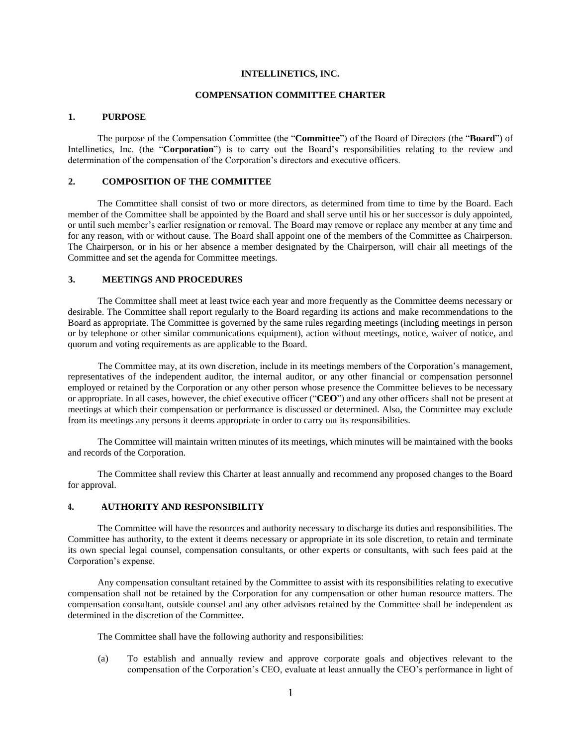## **INTELLINETICS, INC.**

### **COMPENSATION COMMITTEE CHARTER**

#### **1. PURPOSE**

The purpose of the Compensation Committee (the "**Committee**") of the Board of Directors (the "**Board**") of Intellinetics, Inc. (the "**Corporation**") is to carry out the Board's responsibilities relating to the review and determination of the compensation of the Corporation's directors and executive officers.

## **2. COMPOSITION OF THE COMMITTEE**

The Committee shall consist of two or more directors, as determined from time to time by the Board. Each member of the Committee shall be appointed by the Board and shall serve until his or her successor is duly appointed, or until such member's earlier resignation or removal. The Board may remove or replace any member at any time and for any reason, with or without cause. The Board shall appoint one of the members of the Committee as Chairperson. The Chairperson, or in his or her absence a member designated by the Chairperson, will chair all meetings of the Committee and set the agenda for Committee meetings.

# **3. MEETINGS AND PROCEDURES**

The Committee shall meet at least twice each year and more frequently as the Committee deems necessary or desirable. The Committee shall report regularly to the Board regarding its actions and make recommendations to the Board as appropriate. The Committee is governed by the same rules regarding meetings (including meetings in person or by telephone or other similar communications equipment), action without meetings, notice, waiver of notice, and quorum and voting requirements as are applicable to the Board.

The Committee may, at its own discretion, include in its meetings members of the Corporation's management, representatives of the independent auditor, the internal auditor, or any other financial or compensation personnel employed or retained by the Corporation or any other person whose presence the Committee believes to be necessary or appropriate. In all cases, however, the chief executive officer ("**CEO**") and any other officers shall not be present at meetings at which their compensation or performance is discussed or determined. Also, the Committee may exclude from its meetings any persons it deems appropriate in order to carry out its responsibilities.

The Committee will maintain written minutes of its meetings, which minutes will be maintained with the books and records of the Corporation.

The Committee shall review this Charter at least annually and recommend any proposed changes to the Board for approval.

### **4. AUTHORITY AND RESPONSIBILITY**

The Committee will have the resources and authority necessary to discharge its duties and responsibilities. The Committee has authority, to the extent it deems necessary or appropriate in its sole discretion, to retain and terminate its own special legal counsel, compensation consultants, or other experts or consultants, with such fees paid at the Corporation's expense.

Any compensation consultant retained by the Committee to assist with its responsibilities relating to executive compensation shall not be retained by the Corporation for any compensation or other human resource matters. The compensation consultant, outside counsel and any other advisors retained by the Committee shall be independent as determined in the discretion of the Committee.

The Committee shall have the following authority and responsibilities:

(a) To establish and annually review and approve corporate goals and objectives relevant to the compensation of the Corporation's CEO, evaluate at least annually the CEO's performance in light of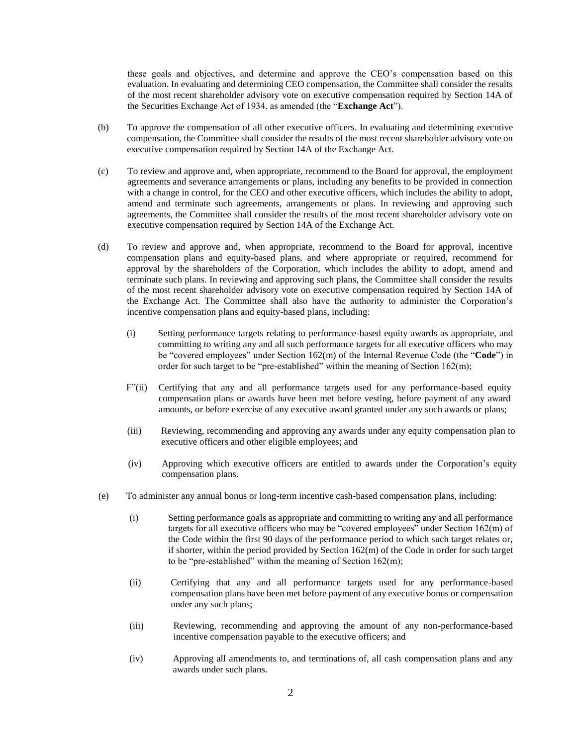these goals and objectives, and determine and approve the CEO's compensation based on this evaluation. In evaluating and determining CEO compensation, the Committee shall consider the results of the most recent shareholder advisory vote on executive compensation required by Section 14A of the Securities Exchange Act of 1934, as amended (the "**Exchange Act**").

- (b) To approve the compensation of all other executive officers. In evaluating and determining executive compensation, the Committee shall consider the results of the most recent shareholder advisory vote on executive compensation required by Section 14A of the Exchange Act.
- (c) To review and approve and, when appropriate, recommend to the Board for approval, the employment agreements and severance arrangements or plans, including any benefits to be provided in connection with a change in control, for the CEO and other executive officers, which includes the ability to adopt, amend and terminate such agreements, arrangements or plans. In reviewing and approving such agreements, the Committee shall consider the results of the most recent shareholder advisory vote on executive compensation required by Section 14A of the Exchange Act.
- (d) To review and approve and, when appropriate, recommend to the Board for approval, incentive compensation plans and equity-based plans, and where appropriate or required, recommend for approval by the shareholders of the Corporation, which includes the ability to adopt, amend and terminate such plans. In reviewing and approving such plans, the Committee shall consider the results of the most recent shareholder advisory vote on executive compensation required by Section 14A of the Exchange Act. The Committee shall also have the authority to administer the Corporation's incentive compensation plans and equity-based plans, including:
	- (i) Setting performance targets relating to performance-based equity awards as appropriate, and committing to writing any and all such performance targets for all executive officers who may be "covered employees" under Section 162(m) of the Internal Revenue Code (the "**Code**") in order for such target to be "pre-established" within the meaning of Section  $162(m)$ ;
	- F"(ii) Certifying that any and all performance targets used for any performance-based equity compensation plans or awards have been met before vesting, before payment of any award amounts, or before exercise of any executive award granted under any such awards or plans;
	- (iii) Reviewing, recommending and approving any awards under any equity compensation plan to executive officers and other eligible employees; and
	- (iv) Approving which executive officers are entitled to awards under the Corporation's equity compensation plans.
- (e) To administer any annual bonus or long-term incentive cash-based compensation plans, including:
	- (i) Setting performance goals as appropriate and committing to writing any and all performance targets for all executive officers who may be "covered employees" under Section 162(m) of the Code within the first 90 days of the performance period to which such target relates or, if shorter, within the period provided by Section 162(m) of the Code in order for such target to be "pre-established" within the meaning of Section 162(m);
	- (ii) Certifying that any and all performance targets used for any performance-based compensation plans have been met before payment of any executive bonus or compensation under any such plans;
	- (iii) Reviewing, recommending and approving the amount of any non-performance-based incentive compensation payable to the executive officers; and
	- (iv) Approving all amendments to, and terminations of, all cash compensation plans and any awards under such plans.